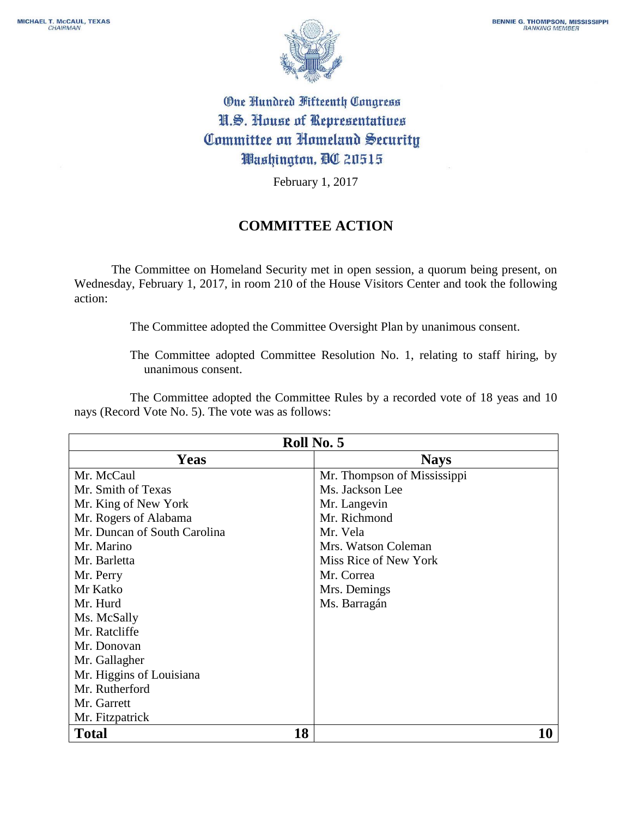

## One Hundred Fifteenth Congress N.S. House of Representatives Committee on Homeland Security Washington, DC 20515

February 1, 2017

## **COMMITTEE ACTION**

The Committee on Homeland Security met in open session, a quorum being present, on Wednesday, February 1, 2017, in room 210 of the House Visitors Center and took the following action:

The Committee adopted the Committee Oversight Plan by unanimous consent.

The Committee adopted Committee Resolution No. 1, relating to staff hiring, by unanimous consent.

The Committee adopted the Committee Rules by a recorded vote of 18 yeas and 10 nays (Record Vote No. 5). The vote was as follows:

| Roll No. 5                   |                             |
|------------------------------|-----------------------------|
| Yeas                         | <b>Nays</b>                 |
| Mr. McCaul                   | Mr. Thompson of Mississippi |
| Mr. Smith of Texas           | Ms. Jackson Lee             |
| Mr. King of New York         | Mr. Langevin                |
| Mr. Rogers of Alabama        | Mr. Richmond                |
| Mr. Duncan of South Carolina | Mr. Vela                    |
| Mr. Marino                   | Mrs. Watson Coleman         |
| Mr. Barletta                 | Miss Rice of New York       |
| Mr. Perry                    | Mr. Correa                  |
| Mr Katko                     | Mrs. Demings                |
| Mr. Hurd                     | Ms. Barragán                |
| Ms. McSally                  |                             |
| Mr. Ratcliffe                |                             |
| Mr. Donovan                  |                             |
| Mr. Gallagher                |                             |
| Mr. Higgins of Louisiana     |                             |
| Mr. Rutherford               |                             |
| Mr. Garrett                  |                             |
| Mr. Fitzpatrick              |                             |
| 18<br><b>Total</b>           | 10                          |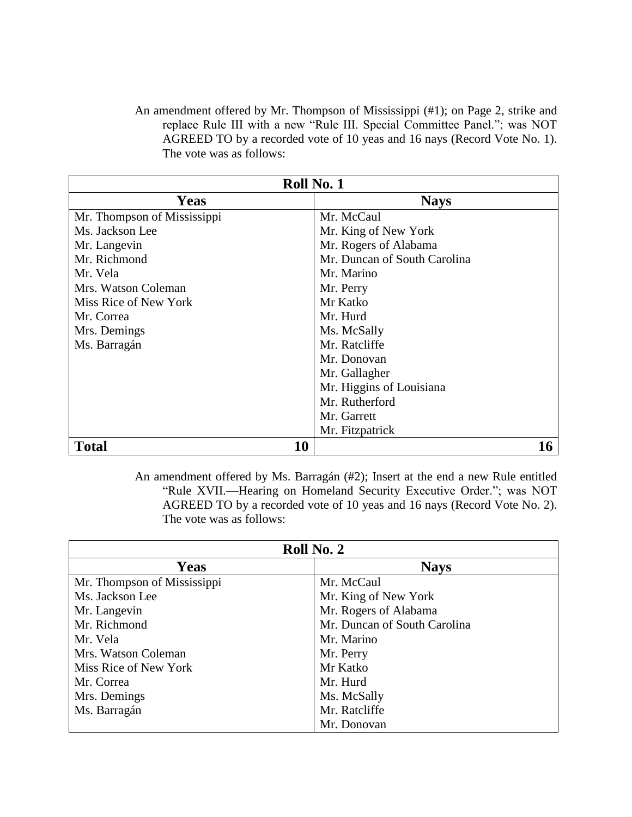An amendment offered by Mr. Thompson of Mississippi (#1); on Page 2, strike and replace Rule III with a new "Rule III. Special Committee Panel."; was NOT AGREED TO by a recorded vote of 10 yeas and 16 nays (Record Vote No. 1). The vote was as follows:

| Roll No. 1                  |    |                              |
|-----------------------------|----|------------------------------|
| Yeas                        |    | <b>Nays</b>                  |
| Mr. Thompson of Mississippi |    | Mr. McCaul                   |
| Ms. Jackson Lee             |    | Mr. King of New York         |
| Mr. Langevin                |    | Mr. Rogers of Alabama        |
| Mr. Richmond                |    | Mr. Duncan of South Carolina |
| Mr. Vela                    |    | Mr. Marino                   |
| Mrs. Watson Coleman         |    | Mr. Perry                    |
| Miss Rice of New York       |    | Mr Katko                     |
| Mr. Correa                  |    | Mr. Hurd                     |
| Mrs. Demings                |    | Ms. McSally                  |
| Ms. Barragán                |    | Mr. Ratcliffe                |
|                             |    | Mr. Donovan                  |
|                             |    | Mr. Gallagher                |
|                             |    | Mr. Higgins of Louisiana     |
|                             |    | Mr. Rutherford               |
|                             |    | Mr. Garrett                  |
|                             |    | Mr. Fitzpatrick              |
| <b>Total</b>                | 10 | 16                           |

An amendment offered by Ms. Barragán (#2); Insert at the end a new Rule entitled "Rule XVII.—Hearing on Homeland Security Executive Order."; was NOT AGREED TO by a recorded vote of 10 yeas and 16 nays (Record Vote No. 2). The vote was as follows:

| Roll No. 2                  |                              |
|-----------------------------|------------------------------|
| Yeas                        | <b>Nays</b>                  |
| Mr. Thompson of Mississippi | Mr. McCaul                   |
| Ms. Jackson Lee             | Mr. King of New York         |
| Mr. Langevin                | Mr. Rogers of Alabama        |
| Mr. Richmond                | Mr. Duncan of South Carolina |
| Mr. Vela                    | Mr. Marino                   |
| Mrs. Watson Coleman         | Mr. Perry                    |
| Miss Rice of New York       | Mr Katko                     |
| Mr. Correa                  | Mr. Hurd                     |
| Mrs. Demings                | Ms. McSally                  |
| Ms. Barragán                | Mr. Ratcliffe                |
|                             | Mr. Donovan                  |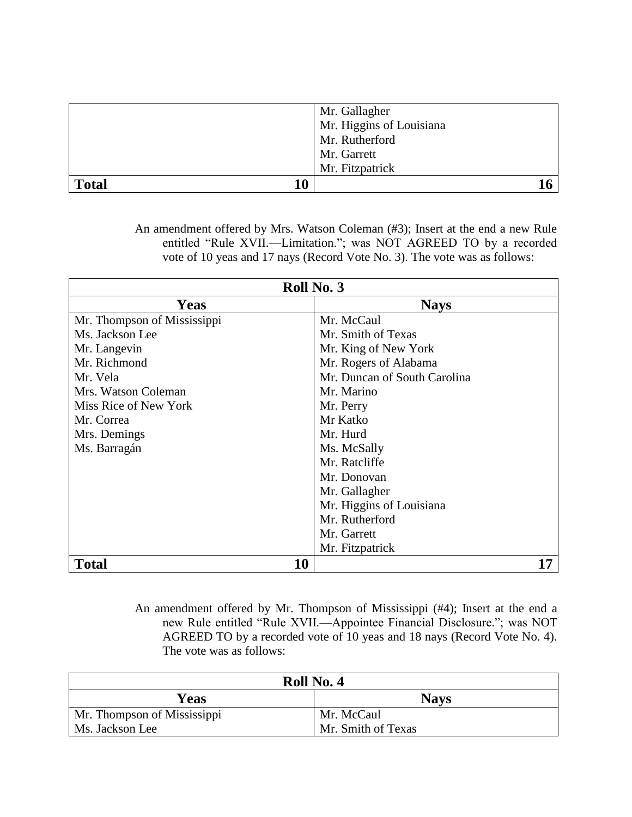|              | Mr. Gallagher<br>Mr. Higgins of Louisiana |
|--------------|-------------------------------------------|
|              | Mr. Rutherford<br>Mr. Garrett             |
|              | Mr. Fitzpatrick                           |
| <b>Total</b> |                                           |

An amendment offered by Mrs. Watson Coleman (#3); Insert at the end a new Rule entitled "Rule XVII.—Limitation."; was NOT AGREED TO by a recorded vote of 10 yeas and 17 nays (Record Vote No. 3). The vote was as follows:

| Roll No. 3                  |                              |
|-----------------------------|------------------------------|
| <b>Yeas</b>                 | <b>Nays</b>                  |
| Mr. Thompson of Mississippi | Mr. McCaul                   |
| Ms. Jackson Lee             | Mr. Smith of Texas           |
| Mr. Langevin                | Mr. King of New York         |
| Mr. Richmond                | Mr. Rogers of Alabama        |
| Mr. Vela                    | Mr. Duncan of South Carolina |
| Mrs. Watson Coleman         | Mr. Marino                   |
| Miss Rice of New York       | Mr. Perry                    |
| Mr. Correa                  | Mr Katko                     |
| Mrs. Demings                | Mr. Hurd                     |
| Ms. Barragán                | Ms. McSally                  |
|                             | Mr. Ratcliffe                |
|                             | Mr. Donovan                  |
|                             | Mr. Gallagher                |
|                             | Mr. Higgins of Louisiana     |
|                             | Mr. Rutherford               |
|                             | Mr. Garrett                  |
|                             | Mr. Fitzpatrick              |
| 10<br><b>Total</b>          | 17                           |

An amendment offered by Mr. Thompson of Mississippi (#4); Insert at the end a new Rule entitled "Rule XVII.—Appointee Financial Disclosure."; was NOT AGREED TO by a recorded vote of 10 yeas and 18 nays (Record Vote No. 4). The vote was as follows:

| Roll No. 4                  |                    |
|-----------------------------|--------------------|
| Yeas                        | <b>Nays</b>        |
| Mr. Thompson of Mississippi | Mr. McCaul         |
| Ms. Jackson Lee             | Mr. Smith of Texas |